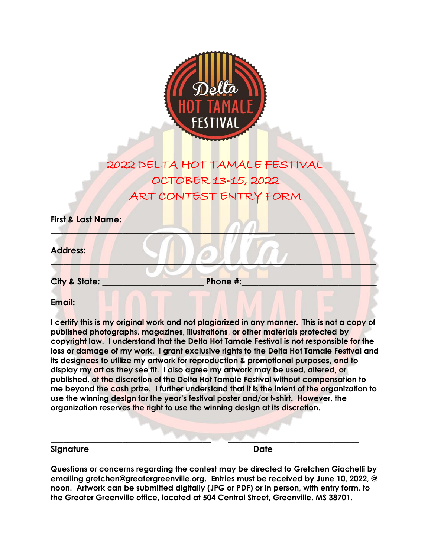

## 2022 DELTA HOT TAMALE FESTIVAL OCTOBER 13-15, 2022 ART CONTEST ENTRY FORM

| <b>First &amp; Last Name:</b> |          |  |
|-------------------------------|----------|--|
| <b>Address:</b>               |          |  |
| City & State: ______________  | Phone #: |  |
| Email:                        |          |  |

**I certify this is my original work and not plagiarized in any manner. This is not a copy of published photographs, magazines, illustrations, or other materials protected by copyright law. I understand that the Delta Hot Tamale Festival is not responsible for the loss or damage of my work. I grant exclusive rights to the Delta Hot Tamale Festival and its designees to utilize my artwork for reproduction & promotional purposes, and to display my art as they see fit. I also agree my artwork may be used, altered, or published, at the discretion of the Delta Hot Tamale Festival without compensation to me beyond the cash prize. I further understand that it is the intent of the organization to use the winning design for the year's festival poster and/or t-shirt. However, the organization reserves the right to use the winning design at its discretion.** 

**Signature Date**

**Questions or concerns regarding the contest may be directed to Gretchen Giachelli by emailing gretchen@greatergreenville.org. Entries must be received by June 10, 2022, @ noon. Artwork can be submitted digitally (JPG or PDF) or in person, with entry form, to the Greater Greenville office, located at 504 Central Street, Greenville, MS 38701.** 

**\_\_\_\_\_\_\_\_\_\_\_\_\_\_\_\_\_\_\_\_\_\_\_\_\_\_\_\_\_\_\_\_\_\_\_\_\_\_ \_\_\_\_\_\_\_\_\_\_\_\_\_\_\_\_\_\_\_\_\_\_\_\_\_\_\_\_\_\_\_**